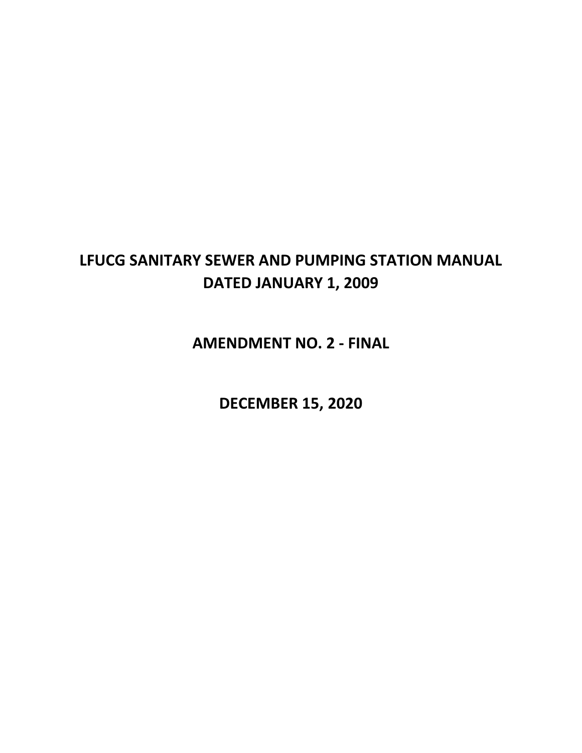# **LFUCG SANITARY SEWER AND PUMPING STATION MANUAL DATED JANUARY 1, 2009**

**AMENDMENT NO. 2 - FINAL**

**DECEMBER 15, 2020**